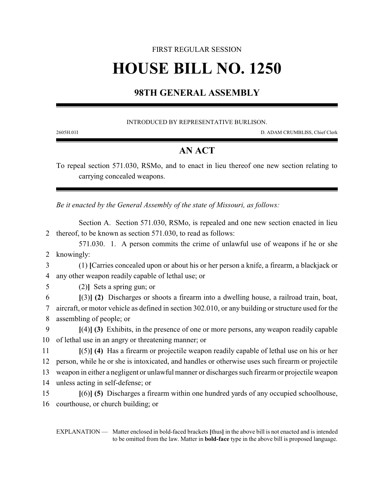# FIRST REGULAR SESSION **HOUSE BILL NO. 1250**

## **98TH GENERAL ASSEMBLY**

#### INTRODUCED BY REPRESENTATIVE BURLISON.

2605H.01I D. ADAM CRUMBLISS, Chief Clerk

### **AN ACT**

To repeal section 571.030, RSMo, and to enact in lieu thereof one new section relating to carrying concealed weapons.

*Be it enacted by the General Assembly of the state of Missouri, as follows:*

Section A. Section 571.030, RSMo, is repealed and one new section enacted in lieu 2 thereof, to be known as section 571.030, to read as follows:

571.030. 1. A person commits the crime of unlawful use of weapons if he or she 2 knowingly:

3 (1) **[**Carries concealed upon or about his or her person a knife, a firearm, a blackjack or 4 any other weapon readily capable of lethal use; or

5 (2)**]** Sets a spring gun; or

6 **[**(3)**] (2)** Discharges or shoots a firearm into a dwelling house, a railroad train, boat, 7 aircraft, or motor vehicle as defined in section 302.010, or any building or structure used for the 8 assembling of people; or

9 **[**(4)**] (3)** Exhibits, in the presence of one or more persons, any weapon readily capable 10 of lethal use in an angry or threatening manner; or

11 **[**(5)**] (4)** Has a firearm or projectile weapon readily capable of lethal use on his or her 12 person, while he or she is intoxicated, and handles or otherwise uses such firearm or projectile 13 weapon in either a negligent or unlawful manner or discharges such firearm or projectile weapon

14 unless acting in self-defense; or

15 **[**(6)**] (5)** Discharges a firearm within one hundred yards of any occupied schoolhouse, 16 courthouse, or church building; or

EXPLANATION — Matter enclosed in bold-faced brackets **[**thus**]** in the above bill is not enacted and is intended to be omitted from the law. Matter in **bold-face** type in the above bill is proposed language.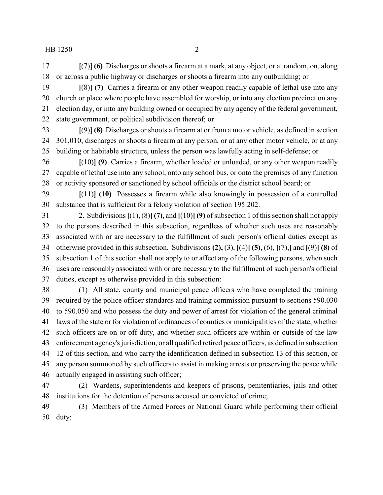**[**(7)**] (6)** Discharges or shoots a firearm at a mark, at any object, or at random, on, along or across a public highway or discharges or shoots a firearm into any outbuilding; or

 **[**(8)**] (7)** Carries a firearm or any other weapon readily capable of lethal use into any church or place where people have assembled for worship, or into any election precinct on any election day, or into any building owned or occupied by any agency of the federal government, state government, or political subdivision thereof; or

 **[**(9)**] (8)** Discharges or shoots a firearm at or from a motor vehicle, as defined in section 301.010, discharges or shoots a firearm at any person, or at any other motor vehicle, or at any building or habitable structure, unless the person was lawfully acting in self-defense; or

 **[**(10)**] (9)** Carries a firearm, whether loaded or unloaded, or any other weapon readily capable of lethal use into any school, onto any school bus, or onto the premises of any function or activity sponsored or sanctioned by school officials or the district school board; or

 **[**(11)**] (10)** Possesses a firearm while also knowingly in possession of a controlled substance that is sufficient for a felony violation of section 195.202.

 2. Subdivisions **[**(1), (8)**] (7)**, and **[**(10)**] (9)** of subsection 1 of this section shall not apply to the persons described in this subsection, regardless of whether such uses are reasonably associated with or are necessary to the fulfillment of such person's official duties except as otherwise provided in this subsection. Subdivisions **(2),** (3), **[**(4)**] (5)**, (6), **[**(7),**]** and **[**(9)**] (8)** of subsection 1 of this section shall not apply to or affect any of the following persons, when such uses are reasonably associated with or are necessary to the fulfillment of such person's official duties, except as otherwise provided in this subsection:

 (1) All state, county and municipal peace officers who have completed the training required by the police officer standards and training commission pursuant to sections 590.030 to 590.050 and who possess the duty and power of arrest for violation of the general criminal laws of the state or for violation of ordinances of counties or municipalities of the state, whether such officers are on or off duty, and whether such officers are within or outside of the law enforcement agency's jurisdiction, or all qualified retired peace officers, as defined in subsection 12 of this section, and who carry the identification defined in subsection 13 of this section, or any person summoned by such officers to assist in making arrests or preserving the peace while actually engaged in assisting such officer;

 (2) Wardens, superintendents and keepers of prisons, penitentiaries, jails and other institutions for the detention of persons accused or convicted of crime;

 (3) Members of the Armed Forces or National Guard while performing their official duty;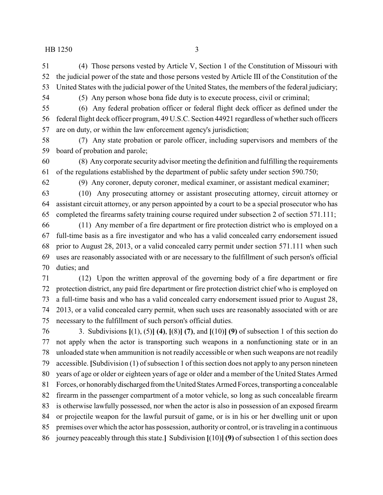(4) Those persons vested by Article V, Section 1 of the Constitution of Missouri with the judicial power of the state and those persons vested by Article III of the Constitution of the United States with the judicial power of the United States, the members of the federal judiciary;

(5) Any person whose bona fide duty is to execute process, civil or criminal;

 (6) Any federal probation officer or federal flight deck officer as defined under the federal flight deck officer program, 49 U.S.C. Section 44921 regardless of whether such officers are on duty, or within the law enforcement agency's jurisdiction;

 (7) Any state probation or parole officer, including supervisors and members of the board of probation and parole;

 (8) Any corporate security advisor meeting the definition and fulfilling the requirements of the regulations established by the department of public safety under section 590.750;

(9) Any coroner, deputy coroner, medical examiner, or assistant medical examiner;

 (10) Any prosecuting attorney or assistant prosecuting attorney, circuit attorney or assistant circuit attorney, or any person appointed by a court to be a special prosecutor who has completed the firearms safety training course required under subsection 2 of section 571.111;

 (11) Any member of a fire department or fire protection district who is employed on a full-time basis as a fire investigator and who has a valid concealed carry endorsement issued prior to August 28, 2013, or a valid concealed carry permit under section 571.111 when such uses are reasonably associated with or are necessary to the fulfillment of such person's official duties; and

 (12) Upon the written approval of the governing body of a fire department or fire protection district, any paid fire department or fire protection district chief who is employed on a full-time basis and who has a valid concealed carry endorsement issued prior to August 28, 2013, or a valid concealed carry permit, when such uses are reasonably associated with or are necessary to the fulfillment of such person's official duties.

 3. Subdivisions **[**(1), (5)**] (4)**, **[**(8)**] (7)**, and **[**(10)**] (9)** of subsection 1 of this section do not apply when the actor is transporting such weapons in a nonfunctioning state or in an unloaded state when ammunition is not readily accessible or when such weapons are not readily accessible. **[**Subdivision (1) of subsection 1 of this section does not apply to any person nineteen years of age or older or eighteen years of age or older and a member of the United States Armed 81 Forces, or honorably discharged from the United States Armed Forces, transporting a concealable firearm in the passenger compartment of a motor vehicle, so long as such concealable firearm is otherwise lawfully possessed, nor when the actor is also in possession of an exposed firearm or projectile weapon for the lawful pursuit of game, or is in his or her dwelling unit or upon premises over which the actor has possession, authority or control, or is traveling in a continuous journey peaceably through this state.**]** Subdivision **[**(10)**] (9)** of subsection 1 of this section does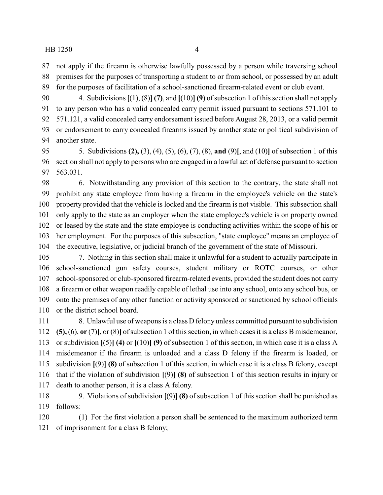not apply if the firearm is otherwise lawfully possessed by a person while traversing school premises for the purposes of transporting a student to or from school, or possessed by an adult for the purposes of facilitation of a school-sanctioned firearm-related event or club event.

 4. Subdivisions **[**(1), (8)**] (7)**, and **[**(10)**] (9)** of subsection 1 of this section shall not apply to any person who has a valid concealed carry permit issued pursuant to sections 571.101 to 571.121, a valid concealed carry endorsement issued before August 28, 2013, or a valid permit or endorsement to carry concealed firearms issued by another state or political subdivision of another state.

 5. Subdivisions **(2),** (3), (4), (5), (6), (7), (8), **and** (9)**[**, and (10)**]** of subsection 1 of this section shall not apply to persons who are engaged in a lawful act of defense pursuant to section 563.031.

 6. Notwithstanding any provision of this section to the contrary, the state shall not prohibit any state employee from having a firearm in the employee's vehicle on the state's property provided that the vehicle is locked and the firearm is not visible. This subsection shall only apply to the state as an employer when the state employee's vehicle is on property owned or leased by the state and the state employee is conducting activities within the scope of his or her employment. For the purposes of this subsection, "state employee" means an employee of the executive, legislative, or judicial branch of the government of the state of Missouri.

 7. Nothing in this section shall make it unlawful for a student to actually participate in school-sanctioned gun safety courses, student military or ROTC courses, or other school-sponsored or club-sponsored firearm-related events, provided the student does not carry a firearm or other weapon readily capable of lethal use into any school, onto any school bus, or onto the premises of any other function or activity sponsored or sanctioned by school officials 110 or the district school board.

111 8. Unlawful use of weapons is a class D felony unless committed pursuant to subdivision **(5),** (6), **or** (7)**[**, or (8)**]** of subsection 1 of this section, in which cases it is a class B misdemeanor, or subdivision **[**(5)**] (4)** or **[**(10)**] (9)** of subsection 1 of this section, in which case it is a class A misdemeanor if the firearm is unloaded and a class D felony if the firearm is loaded, or subdivision **[**(9)**] (8)** of subsection 1 of this section, in which case it is a class B felony, except that if the violation of subdivision **[**(9)**] (8)** of subsection 1 of this section results in injury or death to another person, it is a class A felony.

 9. Violations of subdivision **[**(9)**] (8)** of subsection 1 of this section shall be punished as follows:

 (1) For the first violation a person shall be sentenced to the maximum authorized term of imprisonment for a class B felony;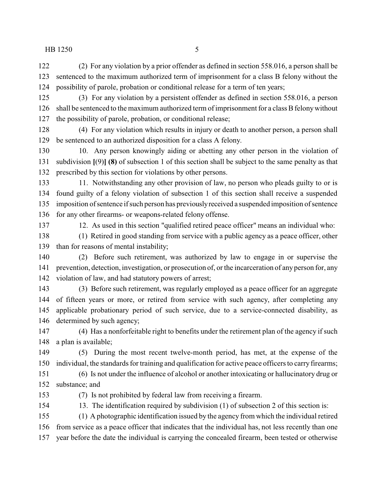(2) For any violation by a prior offender as defined in section 558.016, a person shall be sentenced to the maximum authorized term of imprisonment for a class B felony without the possibility of parole, probation or conditional release for a term of ten years;

 (3) For any violation by a persistent offender as defined in section 558.016, a person 126 shall be sentenced to the maximum authorized term of imprisonment for a class B felony without the possibility of parole, probation, or conditional release;

 (4) For any violation which results in injury or death to another person, a person shall be sentenced to an authorized disposition for a class A felony.

 10. Any person knowingly aiding or abetting any other person in the violation of subdivision **[**(9)**] (8)** of subsection 1 of this section shall be subject to the same penalty as that prescribed by this section for violations by other persons.

 11. Notwithstanding any other provision of law, no person who pleads guilty to or is found guilty of a felony violation of subsection 1 of this section shall receive a suspended imposition of sentence if such person has previouslyreceived a suspended imposition of sentence for any other firearms- or weapons-related felony offense.

12. As used in this section "qualified retired peace officer" means an individual who:

 (1) Retired in good standing from service with a public agency as a peace officer, other than for reasons of mental instability;

 (2) Before such retirement, was authorized by law to engage in or supervise the prevention, detection, investigation, or prosecution of, or the incarceration of any person for, any violation of law, and had statutory powers of arrest;

 (3) Before such retirement, was regularly employed as a peace officer for an aggregate of fifteen years or more, or retired from service with such agency, after completing any applicable probationary period of such service, due to a service-connected disability, as determined by such agency;

 (4) Has a nonforfeitable right to benefits under the retirement plan of the agency if such a plan is available;

 (5) During the most recent twelve-month period, has met, at the expense of the individual, the standards for training and qualification for active peace officers to carry firearms;

 (6) Is not under the influence of alcohol or another intoxicating or hallucinatory drug or substance; and

(7) Is not prohibited by federal law from receiving a firearm.

13. The identification required by subdivision (1) of subsection 2 of this section is:

 (1) A photographic identification issued by the agency from which the individual retired from service as a peace officer that indicates that the individual has, not less recently than one year before the date the individual is carrying the concealed firearm, been tested or otherwise